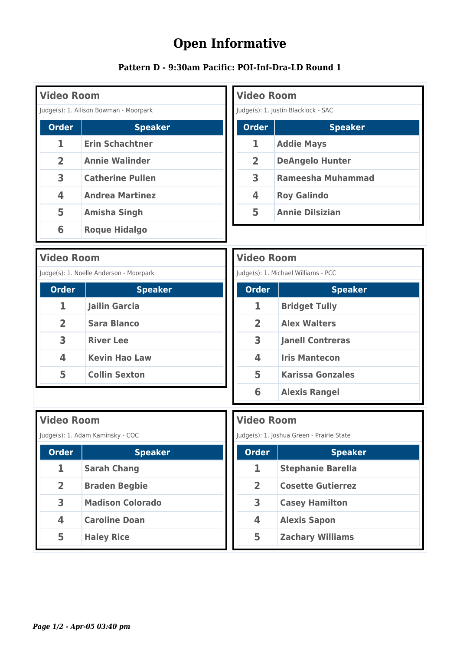## **Open Informative**

| Pattern D - 9:30am Pacific: POI-Inf-Dra-LD Round 1 |
|----------------------------------------------------|
|----------------------------------------------------|

| <b>Video Room</b>                      |                                         | <b>Video Room</b>                         |                                     |                          |  |
|----------------------------------------|-----------------------------------------|-------------------------------------------|-------------------------------------|--------------------------|--|
| Judge(s): 1. Allison Bowman - Moorpark |                                         | Judge(s): 1. Justin Blacklock - SAC       |                                     |                          |  |
| <b>Order</b>                           | <b>Speaker</b>                          | <b>Order</b>                              |                                     | <b>Speaker</b>           |  |
| 1                                      | <b>Erin Schachtner</b>                  | 1                                         |                                     | <b>Addie Mays</b>        |  |
| $\overline{2}$                         | <b>Annie Walinder</b>                   | 2                                         |                                     | <b>DeAngelo Hunter</b>   |  |
| 3                                      | <b>Catherine Pullen</b>                 | 3                                         |                                     | <b>Rameesha Muhammad</b> |  |
| $\overline{\mathbf{4}}$                | <b>Andrea Martinez</b>                  | 4                                         |                                     | <b>Roy Galindo</b>       |  |
| 5                                      | <b>Amisha Singh</b>                     | 5                                         |                                     | <b>Annie Dilsizian</b>   |  |
| 6                                      | <b>Roque Hidalgo</b>                    |                                           |                                     |                          |  |
| <b>Video Room</b>                      |                                         | <b>Video Room</b>                         |                                     |                          |  |
|                                        | Judge(s): 1. Noelle Anderson - Moorpark |                                           | Judge(s): 1. Michael Williams - PCC |                          |  |
| <b>Order</b>                           | <b>Speaker</b>                          | <b>Order</b>                              |                                     | <b>Speaker</b>           |  |
| 1                                      | <b>Jailin Garcia</b>                    | 1                                         |                                     | <b>Bridget Tully</b>     |  |
| $\overline{2}$                         | <b>Sara Blanco</b>                      | $\overline{2}$                            |                                     | <b>Alex Walters</b>      |  |
| 3                                      | <b>River Lee</b>                        | 3                                         |                                     | <b>Janell Contreras</b>  |  |
| 4                                      | <b>Kevin Hao Law</b>                    | $\overline{\mathbf{4}}$                   |                                     | <b>Iris Mantecon</b>     |  |
| 5                                      | <b>Collin Sexton</b>                    | 5                                         |                                     | <b>Karissa Gonzales</b>  |  |
|                                        |                                         | 6                                         |                                     | <b>Alexis Rangel</b>     |  |
| <b>Video Room</b>                      |                                         | <b>Video Room</b>                         |                                     |                          |  |
| Judge(s): 1. Adam Kaminsky - COC       |                                         | Judge(s): 1. Joshua Green - Prairie State |                                     |                          |  |
| <b>Order</b>                           | <b>Speaker</b>                          | <b>Order</b>                              |                                     | <b>Speaker</b>           |  |
| 1                                      | <b>Sarah Chang</b>                      | 1                                         |                                     | <b>Stephanie Barella</b> |  |
| $\overline{2}$                         | <b>Braden Begbie</b>                    | $\overline{2}$                            |                                     | <b>Cosette Gutierrez</b> |  |
| 3                                      | <b>Madison Colorado</b>                 | 3                                         |                                     | <b>Casey Hamilton</b>    |  |
| 4                                      | <b>Caroline Doan</b>                    | 4                                         |                                     | <b>Alexis Sapon</b>      |  |
| 5                                      | <b>Haley Rice</b>                       | 5                                         |                                     | <b>Zachary Williams</b>  |  |